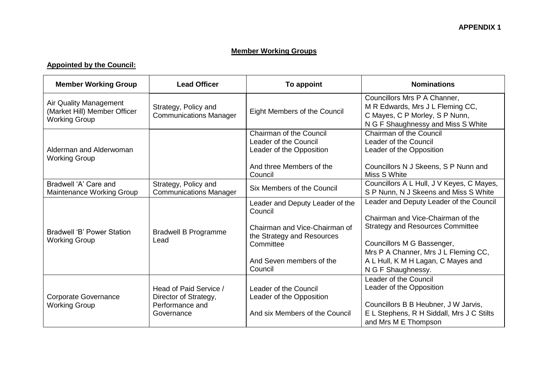## **Member Working Groups**

## **Appointed by the Council:**

| <b>Member Working Group</b>                                                    | <b>Lead Officer</b>                                                              | To appoint                                                                                                                                                    | <b>Nominations</b>                                                                                                                                                                                                                                        |
|--------------------------------------------------------------------------------|----------------------------------------------------------------------------------|---------------------------------------------------------------------------------------------------------------------------------------------------------------|-----------------------------------------------------------------------------------------------------------------------------------------------------------------------------------------------------------------------------------------------------------|
| Air Quality Management<br>(Market Hill) Member Officer<br><b>Working Group</b> | Strategy, Policy and<br><b>Communications Manager</b>                            | Eight Members of the Council                                                                                                                                  | Councillors Mrs P A Channer,<br>M R Edwards, Mrs J L Fleming CC,<br>C Mayes, C P Morley, S P Nunn,<br>N G F Shaughnessy and Miss S White                                                                                                                  |
| Alderman and Alderwoman<br><b>Working Group</b>                                |                                                                                  | <b>Chairman of the Council</b><br>Leader of the Council<br>Leader of the Opposition<br>And three Members of the<br>Council                                    | Chairman of the Council<br>Leader of the Council<br>Leader of the Opposition<br>Councillors N J Skeens, S P Nunn and<br>Miss S White                                                                                                                      |
| Bradwell 'A' Care and<br>Maintenance Working Group                             | Strategy, Policy and<br><b>Communications Manager</b>                            | Six Members of the Council                                                                                                                                    | Councillors A L Hull, J V Keyes, C Mayes,<br>S P Nunn, N J Skeens and Miss S White                                                                                                                                                                        |
| Bradwell 'B' Power Station<br><b>Working Group</b>                             | <b>Bradwell B Programme</b><br>Lead                                              | Leader and Deputy Leader of the<br>Council<br>Chairman and Vice-Chairman of<br>the Strategy and Resources<br>Committee<br>And Seven members of the<br>Council | Leader and Deputy Leader of the Council<br>Chairman and Vice-Chairman of the<br><b>Strategy and Resources Committee</b><br>Councillors M G Bassenger,<br>Mrs P A Channer, Mrs J L Fleming CC,<br>A L Hull, K M H Lagan, C Mayes and<br>N G F Shaughnessy. |
| <b>Corporate Governance</b><br><b>Working Group</b>                            | Head of Paid Service /<br>Director of Strategy,<br>Performance and<br>Governance | Leader of the Council<br>Leader of the Opposition<br>And six Members of the Council                                                                           | Leader of the Council<br>Leader of the Opposition<br>Councillors B B Heubner, J W Jarvis,<br>E L Stephens, R H Siddall, Mrs J C Stilts<br>and Mrs M E Thompson                                                                                            |